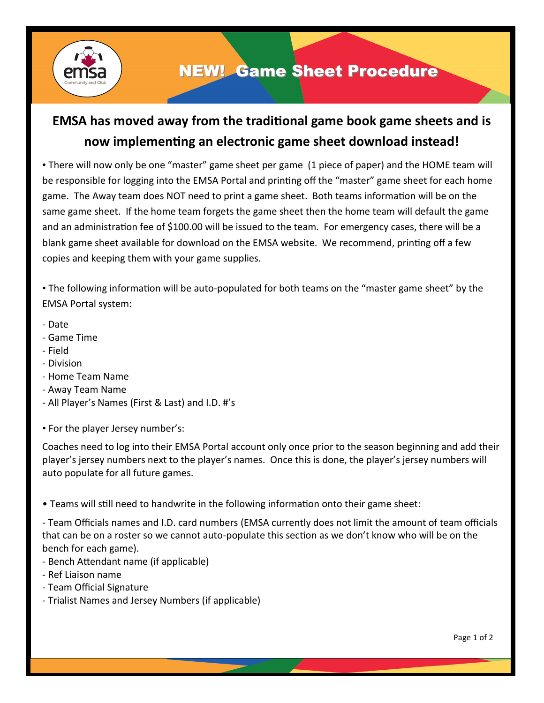

## NEW! Game Sheet Procedure

## **EMSA has moved away from the traditional game book game sheets and is now implementing an electronic game sheet download instead!**

• There will now only be one "master" game sheet per game (1 piece of paper) and the HOME team will be responsible for logging into the EMSA Portal and printing off the "master" game sheet for each home game. The Away team does NOT need to print a game sheet. Both teams information will be on the same game sheet. If the home team forgets the game sheet then the home team will default the game and an administration fee of \$100.00 will be issued to the team. For emergency cases, there will be a blank game sheet available for download on the EMSA website. We recommend, printing off a few copies and keeping them with your game supplies.

• The following information will be auto-populated for both teams on the "master game sheet" by the EMSA Portal system:

- Date
- Game Time
- Field
- Division
- Home Team Name
- Away Team Name
- All Player's Names (First & Last) and I.D. #'s
- For the player Jersey number's:

Coaches need to log into their EMSA Portal account only once prior to the season beginning and add their player's jersey numbers next to the player's names. Once this is done, the player's jersey numbers will auto populate for all future games.

• Teams will still need to handwrite in the following information onto their game sheet:

- Team Officials names and I.D. card numbers (EMSA currently does not limit the amount of team officials that can be on a roster so we cannot auto-populate this section as we don't know who will be on the bench for each game).

- Bench Attendant name (if applicable)
- Ref Liaison name
- Team Official Signature
- Trialist Names and Jersey Numbers (if applicable)